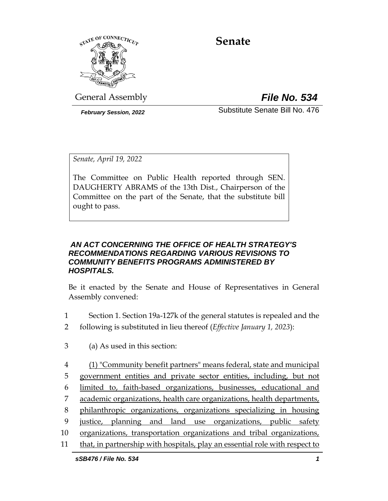

# **Senate**

General Assembly *File No. 534*

*February Session, 2022* Substitute Senate Bill No. 476

*Senate, April 19, 2022*

The Committee on Public Health reported through SEN. DAUGHERTY ABRAMS of the 13th Dist., Chairperson of the Committee on the part of the Senate, that the substitute bill ought to pass.

#### *AN ACT CONCERNING THE OFFICE OF HEALTH STRATEGY'S RECOMMENDATIONS REGARDING VARIOUS REVISIONS TO COMMUNITY BENEFITS PROGRAMS ADMINISTERED BY HOSPITALS.*

Be it enacted by the Senate and House of Representatives in General Assembly convened:

- 1 Section 1. Section 19a-127k of the general statutes is repealed and the
- 2 following is substituted in lieu thereof (*Effective January 1, 2023*):
- 3 (a) As used in this section:
- *sSB476 / File No. 534 1* 4 (1) "Community benefit partners" means federal, state and municipal 5 government entities and private sector entities, including, but not 6 limited to, faith-based organizations, businesses, educational and 7 academic organizations, health care organizations, health departments, 8 philanthropic organizations, organizations specializing in housing 9 justice, planning and land use organizations, public safety 10 organizations, transportation organizations and tribal organizations, 11 that, in partnership with hospitals, play an essential role with respect to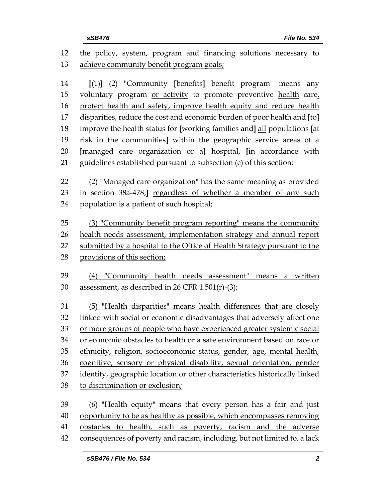| 12             | the policy, system, program and financing solutions necessary to                                                                                     |  |  |  |
|----------------|------------------------------------------------------------------------------------------------------------------------------------------------------|--|--|--|
| 13             | achieve community benefit program goals;                                                                                                             |  |  |  |
| 14<br>15<br>16 | $[(1)]$ $(2)$ "Community [benefits] benefit program" means any<br>voluntary program or activity to promote preventive health care,                   |  |  |  |
|                | protect health and safety, improve health equity and reduce health                                                                                   |  |  |  |
| 17<br>18       | disparities, reduce the cost and economic burden of poor health and [to]<br>improve the health status for [working families and] all populations [at |  |  |  |
| 19             | risk in the communities] within the geographic service areas of a                                                                                    |  |  |  |
| 20             | [managed care organization or a] hospital, [in accordance with                                                                                       |  |  |  |
| 21             | guidelines established pursuant to subsection (c) of this section;                                                                                   |  |  |  |
| 22             | (2) "Managed care organization" has the same meaning as provided                                                                                     |  |  |  |
| 23             | in section 38a-478;] regardless of whether a member of any such                                                                                      |  |  |  |
| 24             | population is a patient of such hospital;                                                                                                            |  |  |  |
| 25             | (3) "Community benefit program reporting" means the community                                                                                        |  |  |  |
| 26             | health needs assessment, implementation strategy and annual report                                                                                   |  |  |  |
| 27             | submitted by a hospital to the Office of Health Strategy pursuant to the                                                                             |  |  |  |
| 28             | provisions of this section;                                                                                                                          |  |  |  |
| 29             | (4) "Community health needs assessment" means a written                                                                                              |  |  |  |
| 30             | assessment, as described in 26 CFR 1.501(r)-(3);                                                                                                     |  |  |  |
| 31             | (5) "Health disparities" means health differences that are closely                                                                                   |  |  |  |
| 32             | linked with social or economic disadvantages that adversely affect one                                                                               |  |  |  |
| 33             | or more groups of people who have experienced greater systemic social                                                                                |  |  |  |
| 34             | or economic obstacles to health or a safe environment based on race or                                                                               |  |  |  |
| 35             | ethnicity, religion, socioeconomic status, gender, age, mental health,                                                                               |  |  |  |
| 36             | cognitive, sensory or physical disability, sexual orientation, gender                                                                                |  |  |  |
| 37             | identity, geographic location or other characteristics historically linked                                                                           |  |  |  |
| 38             | to discrimination or exclusion;                                                                                                                      |  |  |  |
| 39             | (6) "Health equity" means that every person has a fair and just                                                                                      |  |  |  |
| 40             | opportunity to be as healthy as possible, which encompasses removing                                                                                 |  |  |  |
| 41             | obstacles to health, such as poverty, racism and the adverse                                                                                         |  |  |  |
| 42             | consequences of poverty and racism, including, but not limited to, a lack                                                                            |  |  |  |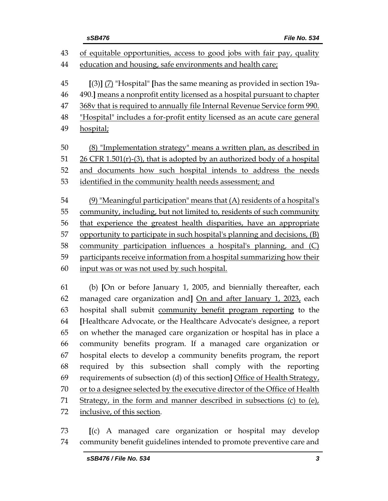|    | File No. 534<br>sSB476                                                      |  |
|----|-----------------------------------------------------------------------------|--|
| 43 | of equitable opportunities, access to good jobs with fair pay, quality      |  |
| 44 | education and housing, safe environments and health care;                   |  |
| 45 | $(3)$ ] (7) "Hospital" [has the same meaning as provided in section 19a-    |  |
| 46 | 490.] means a nonprofit entity licensed as a hospital pursuant to chapter   |  |
| 47 | 368v that is required to annually file Internal Revenue Service form 990.   |  |
|    | "Hospital" includes a for-profit entity licensed as an acute care general   |  |
|    | hospital;                                                                   |  |
|    | (8) "Implementation strategy" means a written plan, as described in         |  |
|    | $26$ CFR 1.501(r)-(3), that is adopted by an authorized body of a hospital  |  |
|    | and documents how such hospital intends to address the needs                |  |
|    | identified in the community health needs assessment; and                    |  |
|    | $(9)$ "Meaningful participation" means that $(A)$ residents of a hospital's |  |
|    | community, including, but not limited to, residents of such community       |  |
|    | that experience the greatest health disparities, have an appropriate        |  |
|    | opportunity to participate in such hospital's planning and decisions, (B)   |  |
|    | community participation influences a hospital's planning, and (C)           |  |
|    | participants receive information from a hospital summarizing how their      |  |
|    | input was or was not used by such hospital.                                 |  |
|    | (b) [On or before January 1, 2005, and biennially thereafter, each          |  |
|    | managed care organization and] On and after January 1, 2023, each           |  |
|    | hospital shall submit community benefit program reporting to the            |  |
|    | [Healthcare Advocate, or the Healthcare Advocate's designee, a report       |  |
|    | on whether the managed care organization or hospital has in place a         |  |
|    | community benefits program. If a managed care organization or               |  |
|    | hospital elects to develop a community benefits program, the report         |  |

 hospital elects to develop a community benefits program, the report required by this subsection shall comply with the reporting requirements of subsection (d) of this section**]** Office of Health Strategy, or to a designee selected by the executive director of the Office of Health Strategy, in the form and manner described in subsections (c) to (e), inclusive, of this section.

 **[**(c) A managed care organization or hospital may develop community benefit guidelines intended to promote preventive care and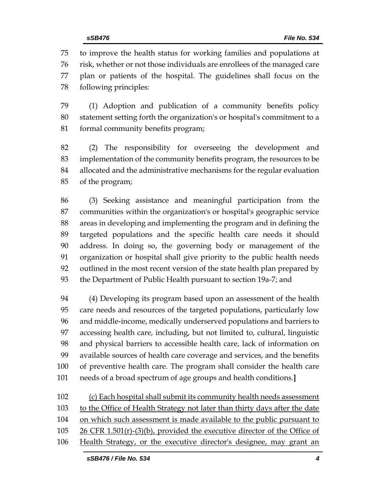to improve the health status for working families and populations at risk, whether or not those individuals are enrollees of the managed care plan or patients of the hospital. The guidelines shall focus on the following principles:

 (1) Adoption and publication of a community benefits policy statement setting forth the organization's or hospital's commitment to a formal community benefits program;

 (2) The responsibility for overseeing the development and implementation of the community benefits program, the resources to be allocated and the administrative mechanisms for the regular evaluation of the program;

 (3) Seeking assistance and meaningful participation from the communities within the organization's or hospital's geographic service areas in developing and implementing the program and in defining the targeted populations and the specific health care needs it should address. In doing so, the governing body or management of the organization or hospital shall give priority to the public health needs outlined in the most recent version of the state health plan prepared by the Department of Public Health pursuant to section 19a-7; and

 (4) Developing its program based upon an assessment of the health care needs and resources of the targeted populations, particularly low and middle-income, medically underserved populations and barriers to accessing health care, including, but not limited to, cultural, linguistic and physical barriers to accessible health care, lack of information on available sources of health care coverage and services, and the benefits of preventive health care. The program shall consider the health care needs of a broad spectrum of age groups and health conditions.**]**

 (c) Each hospital shall submit its community health needs assessment to the Office of Health Strategy not later than thirty days after the date 104 on which such assessment is made available to the public pursuant to 26 CFR 1.501(r)-(3)(b), provided the executive director of the Office of 106 Health Strategy, or the executive director's designee, may grant an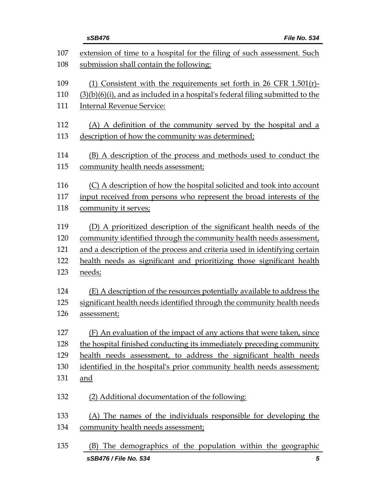|            | sSB476<br>File No. 534                                                                                             |
|------------|--------------------------------------------------------------------------------------------------------------------|
| 107<br>108 | extension of time to a hospital for the filing of such assessment. Such<br>submission shall contain the following: |
| 109        | (1) Consistent with the requirements set forth in 26 CFR 1.501(r)-                                                 |
| 110        | $(3)(b)(6)(i)$ , and as included in a hospital's federal filing submitted to the                                   |
| 111        | <b>Internal Revenue Service:</b>                                                                                   |
| 112        | (A) A definition of the community served by the hospital and a                                                     |
| 113        | description of how the community was determined;                                                                   |
| 114        | (B) A description of the process and methods used to conduct the                                                   |
| 115        | community health needs assessment;                                                                                 |
| 116        | (C) A description of how the hospital solicited and took into account                                              |
| 117        | input received from persons who represent the broad interests of the                                               |
| 118        | community it serves;                                                                                               |
| 119        | (D) A prioritized description of the significant health needs of the                                               |
| 120        | community identified through the community health needs assessment,                                                |
| 121        | and a description of the process and criteria used in identifying certain                                          |
| 122        | health needs as significant and prioritizing those significant health                                              |
| 123        | needs;                                                                                                             |
| 124        | (E) A description of the resources potentially available to address the                                            |
| 125        | significant health needs identified through the community health needs                                             |
| 126        | assessment;                                                                                                        |
| 127        | (F) An evaluation of the impact of any actions that were taken, since                                              |
| 128        | the hospital finished conducting its immediately preceding community                                               |
| 129        | health needs assessment, to address the significant health needs                                                   |
| 130        | identified in the hospital's prior community health needs assessment;                                              |
| 131        | and                                                                                                                |
| 132        | (2) Additional documentation of the following:                                                                     |
| 133        | (A) The names of the individuals responsible for developing the                                                    |
| 134        | community health needs assessment;                                                                                 |
| 135        | (B) The demographics of the population within the geographic                                                       |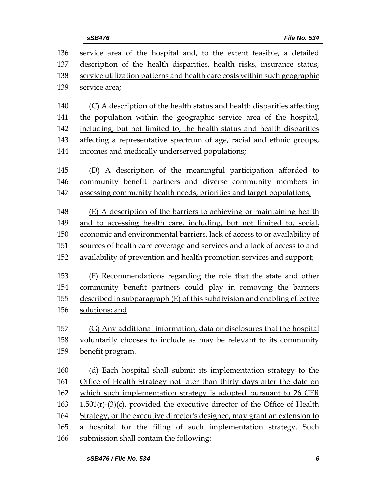| 136 | service area of the hospital and, to the extent feasible, a detailed        |  |  |
|-----|-----------------------------------------------------------------------------|--|--|
| 137 | description of the health disparities, health risks, insurance status,      |  |  |
| 138 | service utilization patterns and health care costs within such geographic   |  |  |
| 139 | service area;                                                               |  |  |
| 140 | (C) A description of the health status and health disparities affecting     |  |  |
| 141 | the population within the geographic service area of the hospital,          |  |  |
| 142 | including, but not limited to, the health status and health disparities     |  |  |
| 143 | affecting a representative spectrum of age, racial and ethnic groups,       |  |  |
| 144 | incomes and medically underserved populations;                              |  |  |
| 145 | (D) A description of the meaningful participation afforded to               |  |  |
| 146 | community benefit partners and diverse community members in                 |  |  |
| 147 | assessing community health needs, priorities and target populations;        |  |  |
| 148 | (E) A description of the barriers to achieving or maintaining health        |  |  |
| 149 | and to accessing health care, including, but not limited to, social,        |  |  |
| 150 | economic and environmental barriers, lack of access to or availability of   |  |  |
| 151 | sources of health care coverage and services and a lack of access to and    |  |  |
| 152 | availability of prevention and health promotion services and support;       |  |  |
| 153 | (F) Recommendations regarding the role that the state and other             |  |  |
| 154 | community benefit partners could play in removing the barriers              |  |  |
| 155 | described in subparagraph (E) of this subdivision and enabling effective    |  |  |
| 156 | solutions; and                                                              |  |  |
| 157 | (G) Any additional information, data or disclosures that the hospital       |  |  |
| 158 | voluntarily chooses to include as may be relevant to its community          |  |  |
| 159 | benefit program.                                                            |  |  |
| 160 | (d) Each hospital shall submit its implementation strategy to the           |  |  |
| 161 | Office of Health Strategy not later than thirty days after the date on      |  |  |
| 162 | which such implementation strategy is adopted pursuant to 26 CFR            |  |  |
| 163 | $1.501(r)$ -(3)(c), provided the executive director of the Office of Health |  |  |
| 164 | Strategy, or the executive director's designee, may grant an extension to   |  |  |
| 165 | a hospital for the filing of such implementation strategy. Such             |  |  |
|     |                                                                             |  |  |

166 submission shall contain the following: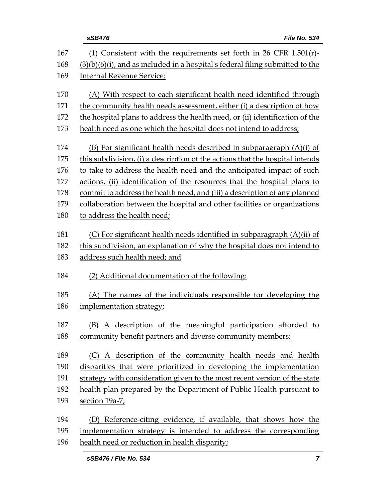|            | File No. 534<br>sSB476                                                                                                                                 |  |  |
|------------|--------------------------------------------------------------------------------------------------------------------------------------------------------|--|--|
| 167<br>168 | (1) Consistent with the requirements set forth in 26 CFR 1.501(r)-<br>$(3)(b)(6)(i)$ , and as included in a hospital's federal filing submitted to the |  |  |
| 169        | <b>Internal Revenue Service:</b>                                                                                                                       |  |  |
| 170        | (A) With respect to each significant health need identified through                                                                                    |  |  |
| 171        | the community health needs assessment, either (i) a description of how                                                                                 |  |  |
| 172        | the hospital plans to address the health need, or (ii) identification of the                                                                           |  |  |
| 173        | health need as one which the hospital does not intend to address;                                                                                      |  |  |
| 174        | $(B)$ For significant health needs described in subparagraph $(A)(i)$ of                                                                               |  |  |
| 175        | this subdivision, (i) a description of the actions that the hospital intends                                                                           |  |  |
| 176        | to take to address the health need and the anticipated impact of such                                                                                  |  |  |
| 177        | actions, (ii) identification of the resources that the hospital plans to                                                                               |  |  |
| 178        | commit to address the health need, and (iii) a description of any planned                                                                              |  |  |
| 179        | collaboration between the hospital and other facilities or organizations                                                                               |  |  |
| 180        | to address the health need;                                                                                                                            |  |  |
| 181        | (C) For significant health needs identified in subparagraph (A)(ii) of                                                                                 |  |  |
| 182        | this subdivision, an explanation of why the hospital does not intend to                                                                                |  |  |
| 183        | address such health need; and                                                                                                                          |  |  |
| 184        | (2) Additional documentation of the following:                                                                                                         |  |  |
| 185        | (A) The names of the individuals responsible for developing the                                                                                        |  |  |
| 186        | implementation strategy;                                                                                                                               |  |  |
| 187        | (B) A description of the meaningful participation afforded to                                                                                          |  |  |
| 188        | community benefit partners and diverse community members;                                                                                              |  |  |
| 189        | (C) A description of the community health needs and health                                                                                             |  |  |
| 190        | disparities that were prioritized in developing the implementation                                                                                     |  |  |
| 191        | strategy with consideration given to the most recent version of the state                                                                              |  |  |
| 192        | health plan prepared by the Department of Public Health pursuant to                                                                                    |  |  |
| 193        | section 19a-7;                                                                                                                                         |  |  |
| 194        | Reference-citing evidence, if available, that shows how the<br>(D)                                                                                     |  |  |
| 195        | implementation strategy is intended to address the corresponding                                                                                       |  |  |
| 196        | health need or reduction in health disparity;                                                                                                          |  |  |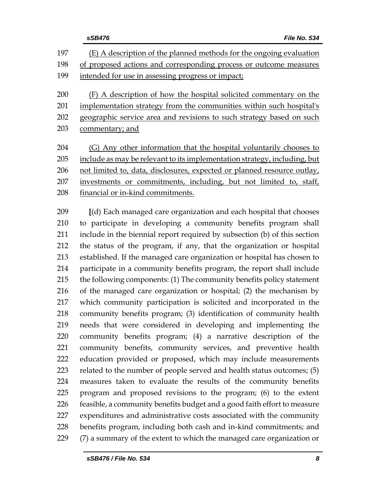|     | File No. 534<br>sSB476                                                    |  |
|-----|---------------------------------------------------------------------------|--|
| 197 | (E) A description of the planned methods for the ongoing evaluation       |  |
| 198 | of proposed actions and corresponding process or outcome measures         |  |
| 199 | intended for use in assessing progress or impact;                         |  |
| 200 | (F) A description of how the hospital solicited commentary on the         |  |
| 201 | implementation strategy from the communities within such hospital's       |  |
| 202 | geographic service area and revisions to such strategy based on such      |  |
| 203 | commentary; and                                                           |  |
| 204 | (G) Any other information that the hospital voluntarily chooses to        |  |
| 205 | include as may be relevant to its implementation strategy, including, but |  |
| 206 | not limited to, data, disclosures, expected or planned resource outlay,   |  |
| 207 | investments or commitments, including, but not limited to, staff,         |  |
| 208 | financial or in-kind commitments.                                         |  |
| 209 | [(d) Each managed care organization and each hospital that chooses        |  |
| 210 | to participate in developing a community benefits program shall           |  |
| 211 | include in the biennial report required by subsection (b) of this section |  |
| 212 | the status of the program, if any, that the organization or hospital      |  |
| 213 | established. If the managed care organization or hospital has chosen to   |  |
| 214 | participate in a community benefits program, the report shall include     |  |
| 215 | the following components: (1) The community benefits policy statement     |  |
| 216 | of the managed care organization or hospital; (2) the mechanism by        |  |
| 217 | which community participation is solicited and incorporated in the        |  |
| 218 | community benefits program; (3) identification of community health        |  |
| 219 | needs that were considered in developing and implementing the             |  |
| 220 | community benefits program; (4) a narrative description of the            |  |
| 221 | community benefits, community services, and preventive health             |  |
| 222 | education provided or proposed, which may include measurements            |  |
| 223 | related to the number of people served and health status outcomes; (5)    |  |
| 224 | measures taken to evaluate the results of the community benefits          |  |
| 225 | program and proposed revisions to the program; (6) to the extent          |  |
| 226 | feasible, a community benefits budget and a good faith effort to measure  |  |
| 227 | expenditures and administrative costs associated with the community       |  |
| 228 | benefits program, including both cash and in-kind commitments; and        |  |
| 229 | (7) a summary of the extent to which the managed care organization or     |  |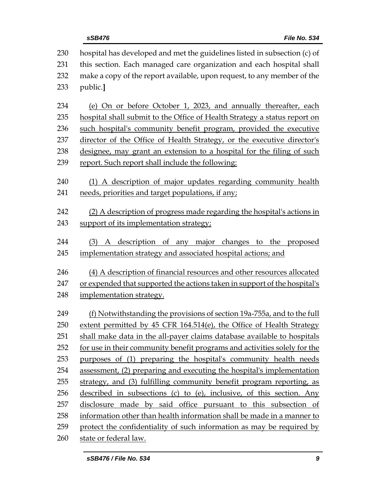| 230 | hospital has developed and met the guidelines listed in subsection (c) of                                                                       |  |  |  |
|-----|-------------------------------------------------------------------------------------------------------------------------------------------------|--|--|--|
| 231 | this section. Each managed care organization and each hospital shall                                                                            |  |  |  |
| 232 | make a copy of the report available, upon request, to any member of the                                                                         |  |  |  |
| 233 | public.]                                                                                                                                        |  |  |  |
| 234 | (e) On or before October 1, 2023, and annually thereafter, each                                                                                 |  |  |  |
| 235 | hospital shall submit to the Office of Health Strategy a status report on                                                                       |  |  |  |
| 236 | such hospital's community benefit program, provided the executive                                                                               |  |  |  |
| 237 | director of the Office of Health Strategy, or the executive director's                                                                          |  |  |  |
| 238 | designee, may grant an extension to a hospital for the filing of such                                                                           |  |  |  |
| 239 | report. Such report shall include the following:                                                                                                |  |  |  |
| 240 | (1) A description of major updates regarding community health                                                                                   |  |  |  |
| 241 | needs, priorities and target populations, if any;                                                                                               |  |  |  |
| 242 | (2) A description of progress made regarding the hospital's actions in                                                                          |  |  |  |
| 243 | support of its implementation strategy;                                                                                                         |  |  |  |
| 244 | (3) A description of any major changes to the proposed                                                                                          |  |  |  |
| 245 | implementation strategy and associated hospital actions; and                                                                                    |  |  |  |
| 246 | (4) A description of financial resources and other resources allocated                                                                          |  |  |  |
| 247 | or expended that supported the actions taken in support of the hospital's                                                                       |  |  |  |
| 248 | implementation strategy.                                                                                                                        |  |  |  |
| 249 |                                                                                                                                                 |  |  |  |
| 250 | (f) Notwithstanding the provisions of section 19a-755a, and to the full<br>extent permitted by 45 CFR 164.514(e), the Office of Health Strategy |  |  |  |
| 251 | shall make data in the all-payer claims database available to hospitals                                                                         |  |  |  |
| 252 | for use in their community benefit programs and activities solely for the                                                                       |  |  |  |
| 253 | purposes of (1) preparing the hospital's community health needs                                                                                 |  |  |  |
|     |                                                                                                                                                 |  |  |  |
| 254 | assessment, (2) preparing and executing the hospital's implementation                                                                           |  |  |  |
| 255 | strategy, and (3) fulfilling community benefit program reporting, as                                                                            |  |  |  |
| 256 | described in subsections (c) to (e), inclusive, of this section. Any                                                                            |  |  |  |
| 257 | disclosure made by said office pursuant to this subsection of                                                                                   |  |  |  |
| 258 | information other than health information shall be made in a manner to                                                                          |  |  |  |
| 259 | protect the confidentiality of such information as may be required by                                                                           |  |  |  |
| 260 | state or federal law.                                                                                                                           |  |  |  |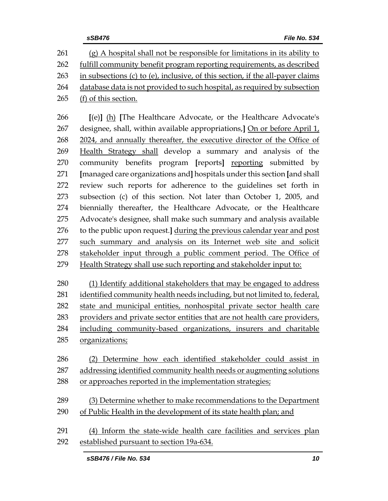(g) A hospital shall not be responsible for limitations in its ability to fulfill community benefit program reporting requirements, as described in subsections (c) to (e), inclusive, of this section, if the all-payer claims database data is not provided to such hospital, as required by subsection (f) of this section. **[**(e)**]** (h) **[**The Healthcare Advocate, or the Healthcare Advocate's designee, shall, within available appropriations,**]** On or before April 1, 2024, and annually thereafter, the executive director of the Office of Health Strategy shall develop a summary and analysis of the community benefits program **[**reports**]** reporting submitted by **[**managed care organizations and**]** hospitals under this section **[**and shall review such reports for adherence to the guidelines set forth in subsection (c) of this section. Not later than October 1, 2005, and biennially thereafter, the Healthcare Advocate, or the Healthcare Advocate's designee, shall make such summary and analysis available to the public upon request.**]** during the previous calendar year and post such summary and analysis on its Internet web site and solicit

stakeholder input through a public comment period. The Office of

Health Strategy shall use such reporting and stakeholder input to:

 (1) Identify additional stakeholders that may be engaged to address identified community health needs including, but not limited to, federal, state and municipal entities, nonhospital private sector health care providers and private sector entities that are not health care providers, including community-based organizations, insurers and charitable organizations;

 (2) Determine how each identified stakeholder could assist in addressing identified community health needs or augmenting solutions or approaches reported in the implementation strategies;

 (3) Determine whether to make recommendations to the Department of Public Health in the development of its state health plan; and

 (4) Inform the state-wide health care facilities and services plan established pursuant to section 19a-634.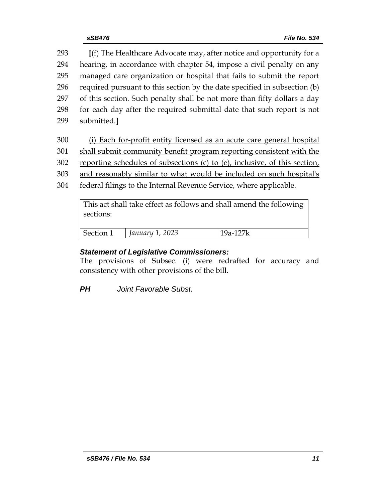**[**(f) The Healthcare Advocate may, after notice and opportunity for a hearing, in accordance with chapter 54, impose a civil penalty on any managed care organization or hospital that fails to submit the report required pursuant to this section by the date specified in subsection (b) of this section. Such penalty shall be not more than fifty dollars a day for each day after the required submittal date that such report is not submitted.**]**

- 300 (i) Each for-profit entity licensed as an acute care general hospital
- 301 shall submit community benefit program reporting consistent with the
- 302 reporting schedules of subsections (c) to (e), inclusive, of this section,
- 303 and reasonably similar to what would be included on such hospital's
- 304 federal filings to the Internal Revenue Service, where applicable.

This act shall take effect as follows and shall amend the following sections:

| $\overline{\phantom{a}}$<br>$\mathcal{C}$ and $\mathcal{C}$<br>ு. | junuu. |  |
|-------------------------------------------------------------------|--------|--|
|                                                                   |        |  |

## *Statement of Legislative Commissioners:*

The provisions of Subsec. (i) were redrafted for accuracy and consistency with other provisions of the bill.

*PH Joint Favorable Subst.*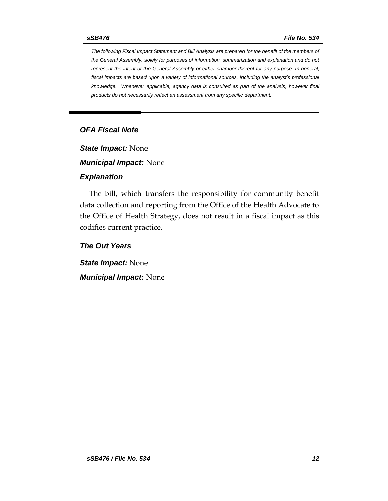*The following Fiscal Impact Statement and Bill Analysis are prepared for the benefit of the members of the General Assembly, solely for purposes of information, summarization and explanation and do not represent the intent of the General Assembly or either chamber thereof for any purpose. In general, fiscal impacts are based upon a variety of informational sources, including the analyst's professional knowledge. Whenever applicable, agency data is consulted as part of the analysis, however final products do not necessarily reflect an assessment from any specific department.*

#### *OFA Fiscal Note*

*State Impact:* None

*Municipal Impact:* None

#### *Explanation*

The bill, which transfers the responsibility for community benefit data collection and reporting from the Office of the Health Advocate to the Office of Health Strategy, does not result in a fiscal impact as this codifies current practice.

#### *The Out Years*

*State Impact:* None *Municipal Impact:* None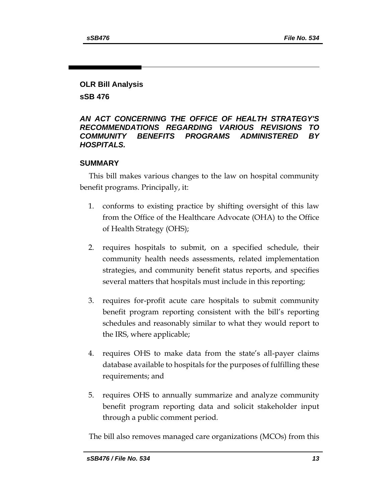## **OLR Bill Analysis**

**sSB 476**

#### *AN ACT CONCERNING THE OFFICE OF HEALTH STRATEGY'S RECOMMENDATIONS REGARDING VARIOUS REVISIONS TO COMMUNITY BENEFITS PROGRAMS ADMINISTERED BY HOSPITALS.*

#### **SUMMARY**

This bill makes various changes to the law on hospital community benefit programs. Principally, it:

- 1. conforms to existing practice by shifting oversight of this law from the Office of the Healthcare Advocate (OHA) to the Office of Health Strategy (OHS);
- 2. requires hospitals to submit, on a specified schedule, their community health needs assessments, related implementation strategies, and community benefit status reports, and specifies several matters that hospitals must include in this reporting;
- 3. requires for-profit acute care hospitals to submit community benefit program reporting consistent with the bill's reporting schedules and reasonably similar to what they would report to the IRS, where applicable;
- 4. requires OHS to make data from the state's all-payer claims database available to hospitals for the purposes of fulfilling these requirements; and
- 5. requires OHS to annually summarize and analyze community benefit program reporting data and solicit stakeholder input through a public comment period.

The bill also removes managed care organizations (MCOs) from this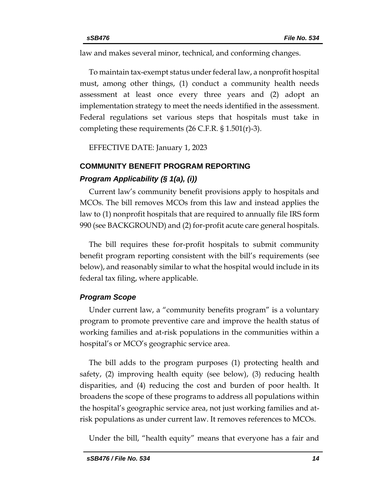law and makes several minor, technical, and conforming changes.

To maintain tax-exempt status under federal law, a nonprofit hospital must, among other things, (1) conduct a community health needs assessment at least once every three years and (2) adopt an implementation strategy to meet the needs identified in the assessment. Federal regulations set various steps that hospitals must take in completing these requirements (26 C.F.R. § 1.501(r)-3).

EFFECTIVE DATE: January 1, 2023

## **COMMUNITY BENEFIT PROGRAM REPORTING** *Program Applicability (§ 1(a), (i))*

Current law's community benefit provisions apply to hospitals and MCOs. The bill removes MCOs from this law and instead applies the law to (1) nonprofit hospitals that are required to annually file IRS form 990 (see BACKGROUND) and (2) for-profit acute care general hospitals.

The bill requires these for-profit hospitals to submit community benefit program reporting consistent with the bill's requirements (see below), and reasonably similar to what the hospital would include in its federal tax filing, where applicable.

#### *Program Scope*

Under current law, a "community benefits program" is a voluntary program to promote preventive care and improve the health status of working families and at-risk populations in the communities within a hospital's or MCO's geographic service area.

The bill adds to the program purposes (1) protecting health and safety, (2) improving health equity (see below), (3) reducing health disparities, and (4) reducing the cost and burden of poor health. It broadens the scope of these programs to address all populations within the hospital's geographic service area, not just working families and atrisk populations as under current law. It removes references to MCOs.

Under the bill, "health equity" means that everyone has a fair and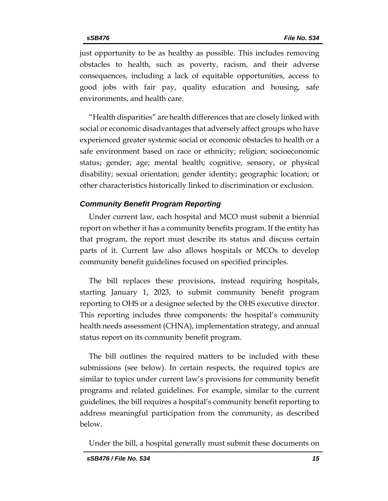just opportunity to be as healthy as possible. This includes removing obstacles to health, such as poverty, racism, and their adverse consequences, including a lack of equitable opportunities, access to good jobs with fair pay, quality education and housing, safe environments, and health care.

"Health disparities" are health differences that are closely linked with social or economic disadvantages that adversely affect groups who have experienced greater systemic social or economic obstacles to health or a safe environment based on race or ethnicity; religion; socioeconomic status; gender; age; mental health; cognitive, sensory, or physical disability; sexual orientation; gender identity; geographic location; or other characteristics historically linked to discrimination or exclusion.

#### *Community Benefit Program Reporting*

Under current law, each hospital and MCO must submit a biennial report on whether it has a community benefits program. If the entity has that program, the report must describe its status and discuss certain parts of it. Current law also allows hospitals or MCOs to develop community benefit guidelines focused on specified principles.

The bill replaces these provisions, instead requiring hospitals, starting January 1, 2023, to submit community benefit program reporting to OHS or a designee selected by the OHS executive director. This reporting includes three components: the hospital's community health needs assessment (CHNA), implementation strategy, and annual status report on its community benefit program.

The bill outlines the required matters to be included with these submissions (see below). In certain respects, the required topics are similar to topics under current law's provisions for community benefit programs and related guidelines. For example, similar to the current guidelines, the bill requires a hospital's community benefit reporting to address meaningful participation from the community, as described below.

Under the bill, a hospital generally must submit these documents on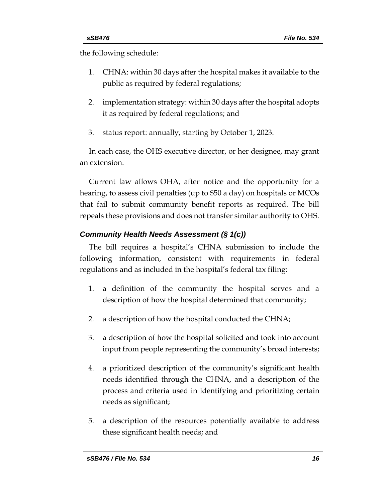the following schedule:

- 1. CHNA: within 30 days after the hospital makes it available to the public as required by federal regulations;
- 2. implementation strategy: within 30 days after the hospital adopts it as required by federal regulations; and
- 3. status report: annually, starting by October 1, 2023.

In each case, the OHS executive director, or her designee, may grant an extension.

Current law allows OHA, after notice and the opportunity for a hearing, to assess civil penalties (up to \$50 a day) on hospitals or MCOs that fail to submit community benefit reports as required. The bill repeals these provisions and does not transfer similar authority to OHS.

## *Community Health Needs Assessment (§ 1(c))*

The bill requires a hospital's CHNA submission to include the following information, consistent with requirements in federal regulations and as included in the hospital's federal tax filing:

- 1. a definition of the community the hospital serves and a description of how the hospital determined that community;
- 2. a description of how the hospital conducted the CHNA;
- 3. a description of how the hospital solicited and took into account input from people representing the community's broad interests;
- 4. a prioritized description of the community's significant health needs identified through the CHNA, and a description of the process and criteria used in identifying and prioritizing certain needs as significant;
- 5. a description of the resources potentially available to address these significant health needs; and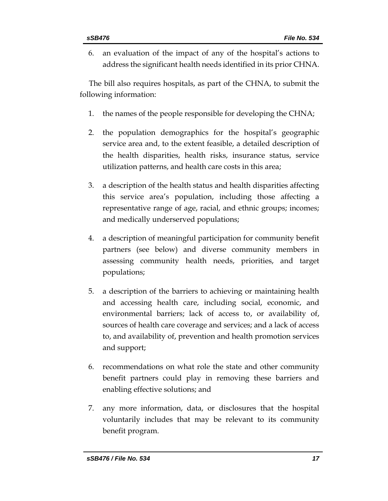6. an evaluation of the impact of any of the hospital's actions to address the significant health needs identified in its prior CHNA.

The bill also requires hospitals, as part of the CHNA, to submit the following information:

- 1. the names of the people responsible for developing the CHNA;
- 2. the population demographics for the hospital's geographic service area and, to the extent feasible, a detailed description of the health disparities, health risks, insurance status, service utilization patterns, and health care costs in this area;
- 3. a description of the health status and health disparities affecting this service area's population, including those affecting a representative range of age, racial, and ethnic groups; incomes; and medically underserved populations;
- 4. a description of meaningful participation for community benefit partners (see below) and diverse community members in assessing community health needs, priorities, and target populations;
- 5. a description of the barriers to achieving or maintaining health and accessing health care, including social, economic, and environmental barriers; lack of access to, or availability of, sources of health care coverage and services; and a lack of access to, and availability of, prevention and health promotion services and support;
- 6. recommendations on what role the state and other community benefit partners could play in removing these barriers and enabling effective solutions; and
- 7. any more information, data, or disclosures that the hospital voluntarily includes that may be relevant to its community benefit program.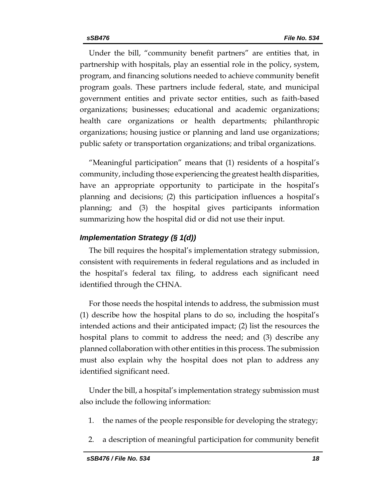Under the bill, "community benefit partners" are entities that, in partnership with hospitals, play an essential role in the policy, system, program, and financing solutions needed to achieve community benefit program goals. These partners include federal, state, and municipal government entities and private sector entities, such as faith-based organizations; businesses; educational and academic organizations; health care organizations or health departments; philanthropic organizations; housing justice or planning and land use organizations; public safety or transportation organizations; and tribal organizations.

"Meaningful participation" means that (1) residents of a hospital's community, including those experiencing the greatest health disparities, have an appropriate opportunity to participate in the hospital's planning and decisions; (2) this participation influences a hospital's planning; and (3) the hospital gives participants information summarizing how the hospital did or did not use their input.

#### *Implementation Strategy (§ 1(d))*

The bill requires the hospital's implementation strategy submission, consistent with requirements in federal regulations and as included in the hospital's federal tax filing, to address each significant need identified through the CHNA.

For those needs the hospital intends to address, the submission must (1) describe how the hospital plans to do so, including the hospital's intended actions and their anticipated impact; (2) list the resources the hospital plans to commit to address the need; and (3) describe any planned collaboration with other entities in this process. The submission must also explain why the hospital does not plan to address any identified significant need.

Under the bill, a hospital's implementation strategy submission must also include the following information:

- 1. the names of the people responsible for developing the strategy;
- 2. a description of meaningful participation for community benefit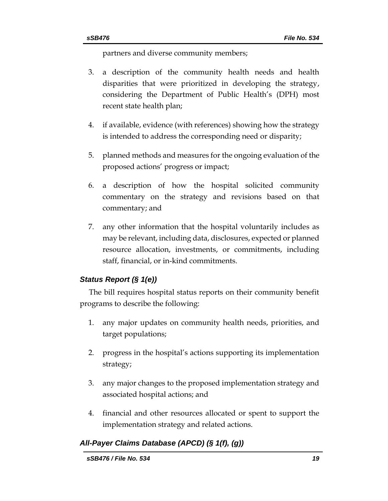partners and diverse community members;

- 3. a description of the community health needs and health disparities that were prioritized in developing the strategy, considering the Department of Public Health's (DPH) most recent state health plan;
- 4. if available, evidence (with references) showing how the strategy is intended to address the corresponding need or disparity;
- 5. planned methods and measures for the ongoing evaluation of the proposed actions' progress or impact;
- 6. a description of how the hospital solicited community commentary on the strategy and revisions based on that commentary; and
- 7. any other information that the hospital voluntarily includes as may be relevant, including data, disclosures, expected or planned resource allocation, investments, or commitments, including staff, financial, or in-kind commitments.

## *Status Report (§ 1(e))*

The bill requires hospital status reports on their community benefit programs to describe the following:

- 1. any major updates on community health needs, priorities, and target populations;
- 2. progress in the hospital's actions supporting its implementation strategy;
- 3. any major changes to the proposed implementation strategy and associated hospital actions; and
- 4. financial and other resources allocated or spent to support the implementation strategy and related actions.

## *All-Payer Claims Database (APCD) (§ 1(f), (g))*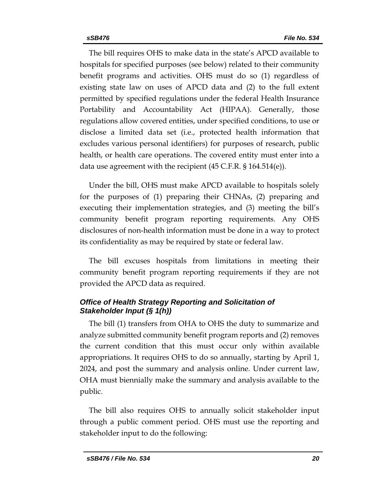The bill requires OHS to make data in the state's APCD available to hospitals for specified purposes (see below) related to their community benefit programs and activities. OHS must do so (1) regardless of existing state law on uses of APCD data and (2) to the full extent permitted by specified regulations under the federal Health Insurance Portability and Accountability Act (HIPAA). Generally, those regulations allow covered entities, under specified conditions, to use or disclose a limited data set (i.e., protected health information that excludes various personal identifiers) for purposes of research, public health, or health care operations. The covered entity must enter into a data use agreement with the recipient (45 C.F.R. § 164.514(e)).

Under the bill, OHS must make APCD available to hospitals solely for the purposes of (1) preparing their CHNAs, (2) preparing and executing their implementation strategies, and (3) meeting the bill's community benefit program reporting requirements. Any OHS disclosures of non-health information must be done in a way to protect its confidentiality as may be required by state or federal law.

The bill excuses hospitals from limitations in meeting their community benefit program reporting requirements if they are not provided the APCD data as required.

## *Office of Health Strategy Reporting and Solicitation of Stakeholder Input (§ 1(h))*

The bill (1) transfers from OHA to OHS the duty to summarize and analyze submitted community benefit program reports and (2) removes the current condition that this must occur only within available appropriations. It requires OHS to do so annually, starting by April 1, 2024, and post the summary and analysis online. Under current law, OHA must biennially make the summary and analysis available to the public.

The bill also requires OHS to annually solicit stakeholder input through a public comment period. OHS must use the reporting and stakeholder input to do the following: